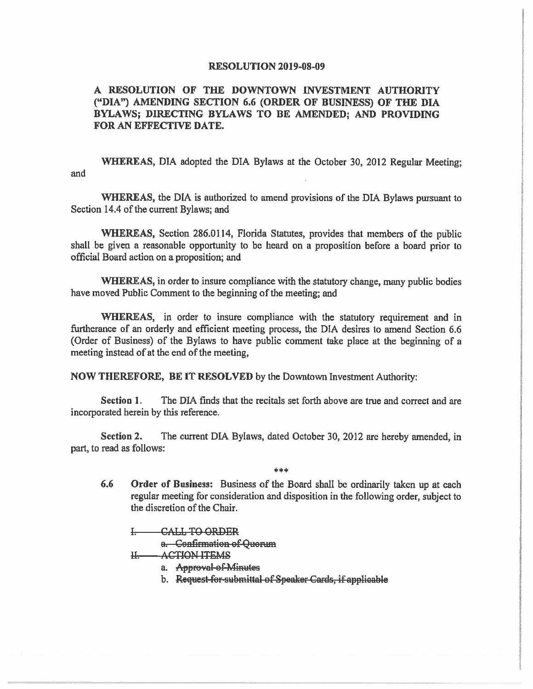## **RESOLUTION 2019-08-09**

## **A RESOLUTION OF THE DOWNTOWN INVESTMENT AUTHORITY ("DIA") AMENDING SECTION 6.6 (ORDER OF BUSINESS) OF THE DIA BYLAWS; DIRECTING BYLAWS TO BE AMENDED; AND PROVIDING FOR AN EFFECTIVE DATE.**

**WHEREAS,** DIA adopted the DIA Bylaws at the October 30, 2012 Regular Meeting; and

**WHEREAS,** the DIA is authorized to amend provisions of the DIA Bylaws pursuant to Section 14.4 of the current Bylaws; and

**WHEREAS,** Section 286.0II4, Florida Statutes, provides that members of the public shall be given a reasonable opportunity to be heard on a proposition before a board prior to official Board action on a proposition; and

**WHEREAS,** in order to insure compliance with the statutory change, many public bodies have moved Public Comment to the beginning of the meeting; and

**WHEREAS,** in order to insure compliance with the statutory requirement and in furtherance of an orderly and efficient meeting process, the DIA desires to amend Section 6.6 (Order of Business) of the Bylaws to have public comment take place at the beginning of a meeting instead of at the end of the meeting,

**NOW THEREFORE, BE** IT **RESOLVED** by the Downtown Investment Authority:

**Section 1.** The DIA finds that the recitals set forth above are true and correct and are incorporated herein by this reference.

**Section 2.** The current DIA Bylaws, dated October 30, 2012 are hereby amended, in part, to read as follows:

\*\*\*

**6.6 Order of Business:** Business of the Board shall be ordinarily taken up at each regular meeting for consideration and disposition in the following order, subject to the discretion of the Chair.

CALL TO ORDER

a. Confirmation of Quorum

II. ACTION ITEMS

- a. Approval of Minutes
- b. Request for submittal of Speaker Cards, if applicable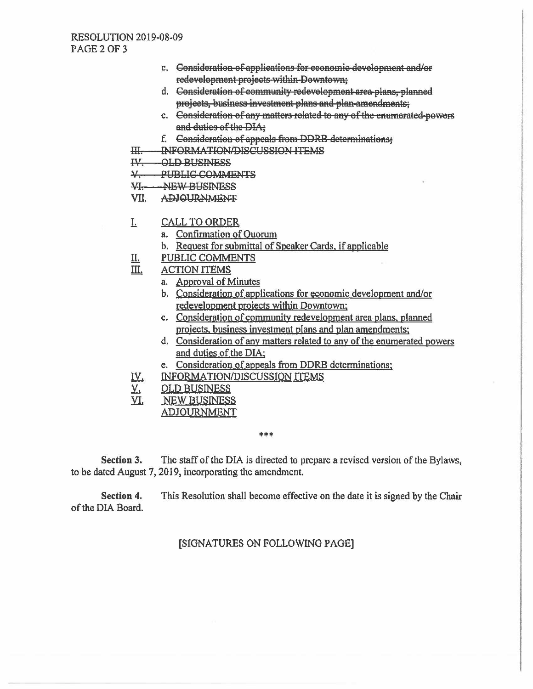- c. Consideration of applications for economic development and/or redevelopment projects-within-Downtown;
- d. Consideration of community redevelopment area-plans, planned projects, business investment plans and plan-amendments;
- c. Consideration of any matters related to any of the enumerated-powers and duties of the DIA:
- f. Consideration of appeals from DDRB determinations;
- $H$ INFORMATION/DISCUSSION ITEMS
- IV. OLD BUSINESS
- $\frac{1}{2}$ PUBLIC-COMMENTS
- **巩** -NEW BUSINESS
- VII. **ADJOURNMENT**
- I. **CALL TO ORDER** 
	- a. Confirmation of Quorum
	- b. Request for submittal of Speaker Cards, if applicable
- PUBLIC COMMENTS II.
- III. **ACTION ITEMS** 
	- a. Approval of Minutes
	- b. Consideration of applications for economic development and/or redevelopment projects within Downtown;
	- c. Consideration of community redevelopment area plans, planned projects, business investment plans and plan amendments;
	- d. Consideration of any matters related to any of the enumerated powers and duties of the DIA;
	- e. Consideration of appeals from DDRB determinations;
- INFORMATION/DISCUSSION ITEMS IV.
- V. **OLD BUSINESS**
- VI. **NEW BUSINESS** 
	- **ADJOURNMENT**

\*\*\*

**Section 3.** The staff of the DIA is directed to prepare a revised version of the Bylaws, to be dated August 7, 2019, incorporating the amendment.

Section 4. This Resolution shall become effective on the date it is signed by the Chair of the DIA Board.

## [SIGNATURES ON FOLLOWING PAGE]